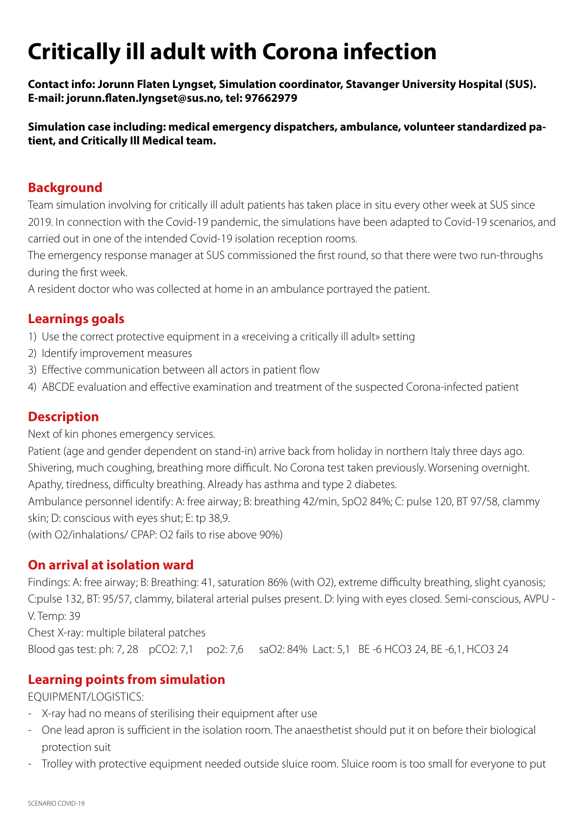# **Critically ill adult with Corona infection**

**Contact info: Jorunn Flaten Lyngset, Simulation coordinator, Stavanger University Hospital (SUS). E-mail: jorunn.flaten.lyngset@sus.no, tel: 97662979**

**Simulation case including: medical emergency dispatchers, ambulance, volunteer standardized patient, and Critically Ill Medical team.** 

#### **Background**

Team simulation involving for critically ill adult patients has taken place in situ every other week at SUS since 2019. In connection with the Covid-19 pandemic, the simulations have been adapted to Covid-19 scenarios, and carried out in one of the intended Covid-19 isolation reception rooms.

The emergency response manager at SUS commissioned the first round, so that there were two run-throughs during the first week.

A resident doctor who was collected at home in an ambulance portrayed the patient.

#### **Learnings goals**

- 1) Use the correct protective equipment in a «receiving a critically ill adult» setting
- 2) Identify improvement measures
- 3) Effective communication between all actors in patient flow
- 4) ABCDE evaluation and effective examination and treatment of the suspected Corona-infected patient

#### **Description**

Next of kin phones emergency services.

Patient (age and gender dependent on stand-in) arrive back from holiday in northern Italy three days ago. Shivering, much coughing, breathing more difficult. No Corona test taken previously. Worsening overnight. Apathy, tiredness, difficulty breathing. Already has asthma and type 2 diabetes.

Ambulance personnel identify: A: free airway; B: breathing 42/min, SpO2 84%; C: pulse 120, BT 97/58, clammy skin; D: conscious with eyes shut; E: tp 38,9.

(with O2/inhalations/ CPAP: O2 fails to rise above 90%)

#### **On arrival at isolation ward**

Findings: A: free airway; B: Breathing: 41, saturation 86% (with O2), extreme difficulty breathing, slight cyanosis; C:pulse 132, BT: 95/57, clammy, bilateral arterial pulses present. D: lying with eyes closed. Semi-conscious, AVPU - V. Temp: 39

Chest X-ray: multiple bilateral patches

Blood gas test: ph: 7, 28 pCO2: 7,1 po2: 7,6 saO2: 84% Lact: 5,1 BE -6 HCO3 24, BE -6,1, HCO3 24

### **Learning points from simulation**

EQUIPMENT/LOGISTICS:

- X-ray had no means of sterilising their equipment after use
- One lead apron is sufficient in the isolation room. The anaesthetist should put it on before their biological protection suit
- Trolley with protective equipment needed outside sluice room. Sluice room is too small for everyone to put